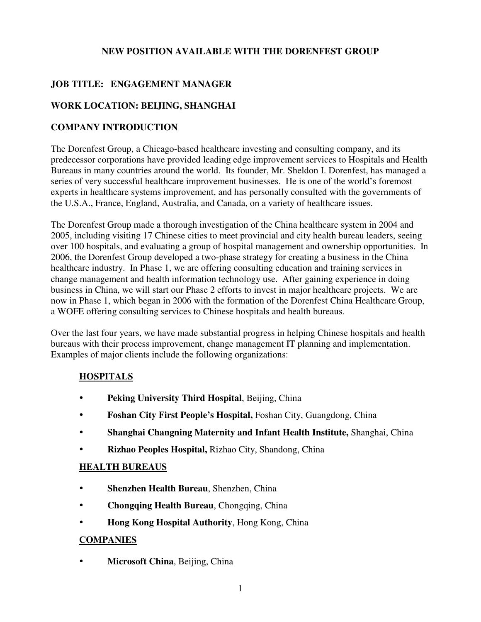#### **NEW POSITION AVAILABLE WITH THE DORENFEST GROUP**

## **JOB TITLE: ENGAGEMENT MANAGER**

### **WORK LOCATION: BEIJING, SHANGHAI**

### **COMPANY INTRODUCTION**

The Dorenfest Group, a Chicago-based healthcare investing and consulting company, and its predecessor corporations have provided leading edge improvement services to Hospitals and Health Bureaus in many countries around the world. Its founder, Mr. Sheldon I. Dorenfest, has managed a series of very successful healthcare improvement businesses. He is one of the world's foremost experts in healthcare systems improvement, and has personally consulted with the governments of the U.S.A., France, England, Australia, and Canada, on a variety of healthcare issues.

The Dorenfest Group made a thorough investigation of the China healthcare system in 2004 and 2005, including visiting 17 Chinese cities to meet provincial and city health bureau leaders, seeing over 100 hospitals, and evaluating a group of hospital management and ownership opportunities. In 2006, the Dorenfest Group developed a two-phase strategy for creating a business in the China healthcare industry. In Phase 1, we are offering consulting education and training services in change management and health information technology use. After gaining experience in doing business in China, we will start our Phase 2 efforts to invest in major healthcare projects. We are now in Phase 1, which began in 2006 with the formation of the Dorenfest China Healthcare Group, a WOFE offering consulting services to Chinese hospitals and health bureaus.

Over the last four years, we have made substantial progress in helping Chinese hospitals and health bureaus with their process improvement, change management IT planning and implementation. Examples of major clients include the following organizations:

### **HOSPITALS**

- **Peking University Third Hospital**, Beijing, China
- **Foshan City First People's Hospital,** Foshan City, Guangdong, China
- **Shanghai Changning Maternity and Infant Health Institute,** Shanghai, China
- **Rizhao Peoples Hospital,** Rizhao City, Shandong, China

#### **HEALTH BUREAUS**

- **Shenzhen Health Bureau**, Shenzhen, China
- **Chongqing Health Bureau**, Chongqing, China
- **Hong Kong Hospital Authority**, Hong Kong, China

#### **COMPANIES**

**• Microsoft China**, Beijing, China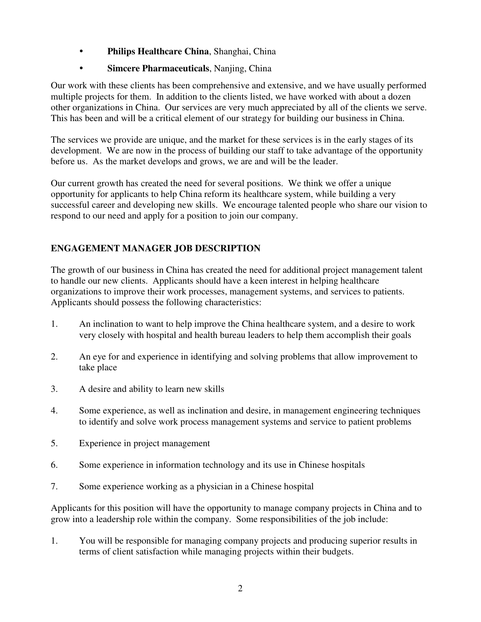- **Philips Healthcare China**, Shanghai, China
- **Simcere Pharmaceuticals**, Nanjing, China

Our work with these clients has been comprehensive and extensive, and we have usually performed multiple projects for them. In addition to the clients listed, we have worked with about a dozen other organizations in China. Our services are very much appreciated by all of the clients we serve. This has been and will be a critical element of our strategy for building our business in China.

The services we provide are unique, and the market for these services is in the early stages of its development. We are now in the process of building our staff to take advantage of the opportunity before us. As the market develops and grows, we are and will be the leader.

Our current growth has created the need for several positions. We think we offer a unique opportunity for applicants to help China reform its healthcare system, while building a very successful career and developing new skills. We encourage talented people who share our vision to respond to our need and apply for a position to join our company.

## **ENGAGEMENT MANAGER JOB DESCRIPTION**

The growth of our business in China has created the need for additional project management talent to handle our new clients. Applicants should have a keen interest in helping healthcare organizations to improve their work processes, management systems, and services to patients. Applicants should possess the following characteristics:

- 1. An inclination to want to help improve the China healthcare system, and a desire to work very closely with hospital and health bureau leaders to help them accomplish their goals
- 2. An eye for and experience in identifying and solving problems that allow improvement to take place
- 3. A desire and ability to learn new skills
- 4. Some experience, as well as inclination and desire, in management engineering techniques to identify and solve work process management systems and service to patient problems
- 5. Experience in project management
- 6. Some experience in information technology and its use in Chinese hospitals
- 7. Some experience working as a physician in a Chinese hospital

Applicants for this position will have the opportunity to manage company projects in China and to grow into a leadership role within the company. Some responsibilities of the job include:

1. You will be responsible for managing company projects and producing superior results in terms of client satisfaction while managing projects within their budgets.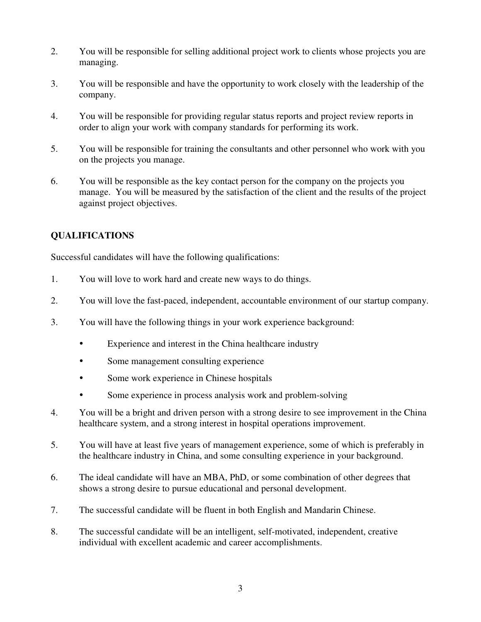- 2. You will be responsible for selling additional project work to clients whose projects you are managing.
- 3. You will be responsible and have the opportunity to work closely with the leadership of the company.
- 4. You will be responsible for providing regular status reports and project review reports in order to align your work with company standards for performing its work.
- 5. You will be responsible for training the consultants and other personnel who work with you on the projects you manage.
- 6. You will be responsible as the key contact person for the company on the projects you manage. You will be measured by the satisfaction of the client and the results of the project against project objectives.

# **QUALIFICATIONS**

Successful candidates will have the following qualifications:

- 1. You will love to work hard and create new ways to do things.
- 2. You will love the fast-paced, independent, accountable environment of our startup company.
- 3. You will have the following things in your work experience background:
	- Experience and interest in the China healthcare industry
	- Some management consulting experience
	- Some work experience in Chinese hospitals
	- Some experience in process analysis work and problem-solving
- 4. You will be a bright and driven person with a strong desire to see improvement in the China healthcare system, and a strong interest in hospital operations improvement.
- 5. You will have at least five years of management experience, some of which is preferably in the healthcare industry in China, and some consulting experience in your background.
- 6. The ideal candidate will have an MBA, PhD, or some combination of other degrees that shows a strong desire to pursue educational and personal development.
- 7. The successful candidate will be fluent in both English and Mandarin Chinese.
- 8. The successful candidate will be an intelligent, self-motivated, independent, creative individual with excellent academic and career accomplishments.